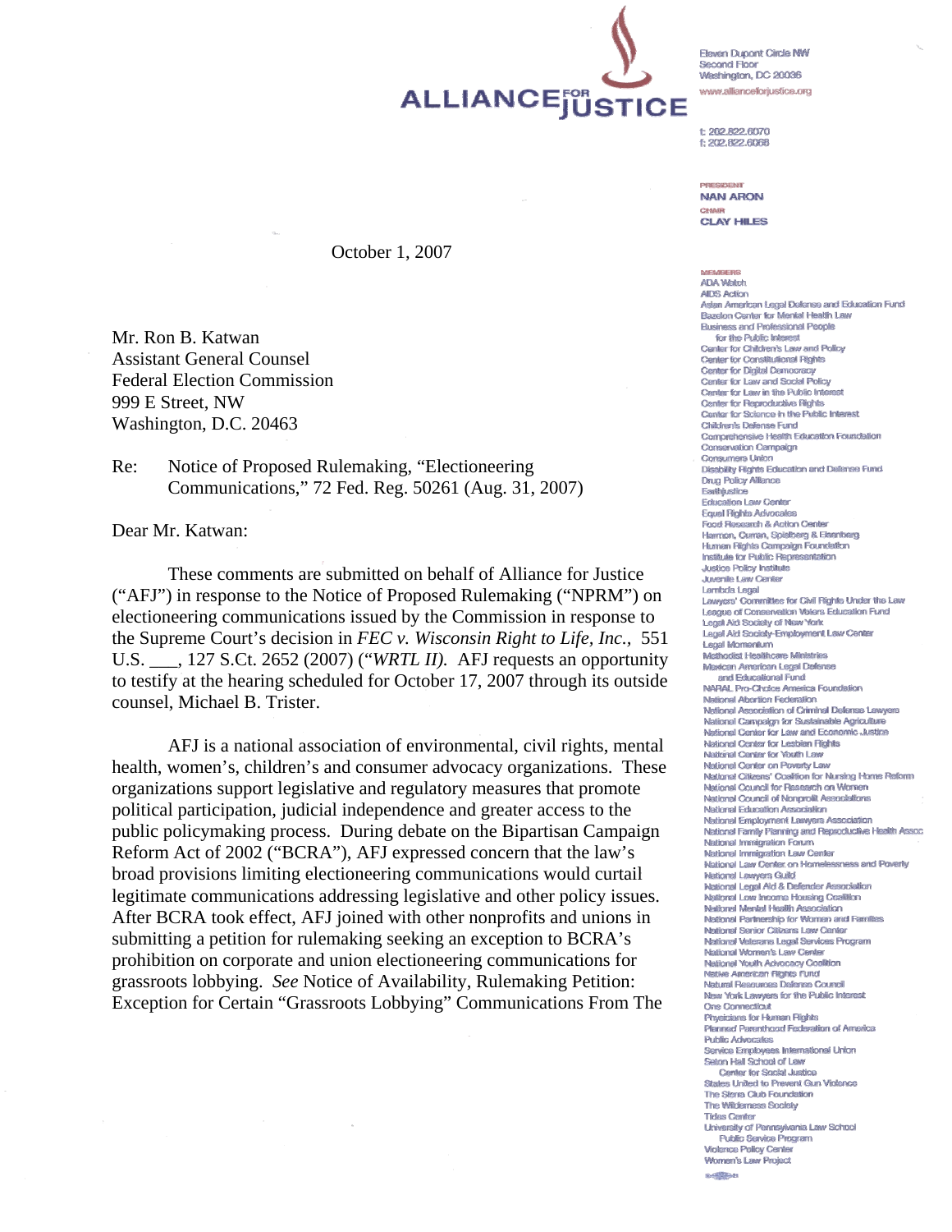ALLIANCEJUSTICE

**Eleven Dunont Circle NW** Second Floor Washington, DC 20036 www.allianceforjustice.org

t: 202.822.6070 f: 202,822,6068

DOESINEME **NAN ARON** CHAIR **CLAY HILES** 

#### October 1, 2007

Mr. Ron B. Katwan Assistant General Counsel Federal Election Commission 999 E Street, NW Washington, D.C. 20463

Re: Notice of Proposed Rulemaking, "Electioneering Communications," 72 Fed. Reg. 50261 (Aug. 31, 2007)

Dear Mr. Katwan:

 These comments are submitted on behalf of Alliance for Justice ("AFJ") in response to the Notice of Proposed Rulemaking ("NPRM") on electioneering communications issued by the Commission in response to the Supreme Court's decision in *FEC v. Wisconsin Right to Life, Inc.,* 551 U.S. \_\_\_, 127 S.Ct. 2652 (2007) ("*WRTL II).* AFJ requests an opportunity to testify at the hearing scheduled for October 17, 2007 through its outside counsel, Michael B. Trister.

 AFJ is a national association of environmental, civil rights, mental health, women's, children's and consumer advocacy organizations. These organizations support legislative and regulatory measures that promote political participation, judicial independence and greater access to the public policymaking process. During debate on the Bipartisan Campaign Reform Act of 2002 ("BCRA"), AFJ expressed concern that the law's broad provisions limiting electioneering communications would curtail legitimate communications addressing legislative and other policy issues. After BCRA took effect, AFJ joined with other nonprofits and unions in submitting a petition for rulemaking seeking an exception to BCRA's prohibition on corporate and union electioneering communications for grassroots lobbying. *See* Notice of Availability, Rulemaking Petition: Exception for Certain "Grassroots Lobbying" Communications From The

ADA Médele **AIDS Action** Asian American Legal Defense and Education Fund Bazelon Center for Mental Health Law **Business and Professional People** for the Public Interest Center for Children's Law and Policy Center for Constitutional Rights Center for Digital Democracy Center for Law and Social Policy Center for Law in the Public Intere Center for Reproductive Rights Center for Science in the Public Interest Children's Defense Fund Comprehensive Health Education Foundation Conservation Campaign Consumers Union Dissbility Rights Education and Defense Fund **Drug Policy Alliance** Earthjustice Education Law Center Equal Rights Advocates Food Research & Action Center Harmon, Curran, Spielberg & Eisenberg Human Rights Campaign Foundation Institute for Public Representation **Justice Policy Institute Juvenile Law Center** Lambda Legal Lawyers' Committee for Civil Rights Under the Law League of Conservation Volers Education Fund Legal Aid Sociaty of New York Legal Aid Society-Employment Law Center Legal Momentum **Methodist Healthcare Ministries** Mexican American Legal Defense and Educational Fund NARAL Pro-Choice America Foundation National Abortion Federation **National Association of Criminal Defense Lawyers** National Campalon for Sustainable Agriculture National Center for Law and Economic Justice National Center for Lesbian Rights National Center for Youth Law National Center on Poverty Law National Citizens' Coalition for Nursing Home Reform National Council for Research on Women National Council of Nongrofit Associations National Education Association National Employment Lawyers Association National Family Planning and Reproductive Health Assoc. National Immigration Forum National Immigration Law Center National Law Center on Homelessness and Poverty National Lawyers Guild National Legal Ald & Defender Association National Low Income Housing Coalition National Mental Health Association National Partnership for Women and Families National Senior Citizens Law Center National Veterans Legal Services Program National Women's Law Center National Youth Advocacy Coalition Native American Rights Fund Natural Resources Defense Council New York Lawyers for the Public Interest One Connecticut Physicians for Human Richts Plenned Parenthood Federation of America **Public Advocates** Service Enrolovees International Union Seton Hall School of Law Center for Social Justice States Linited to Prevent Gun Violence The Sterra Club Foundation The Wildemess Society **Tides Center University of Pennsylvania Law School Public Service Program Violence Policy Center Women's Law Project**  $8 - \frac{153}{100} + 1$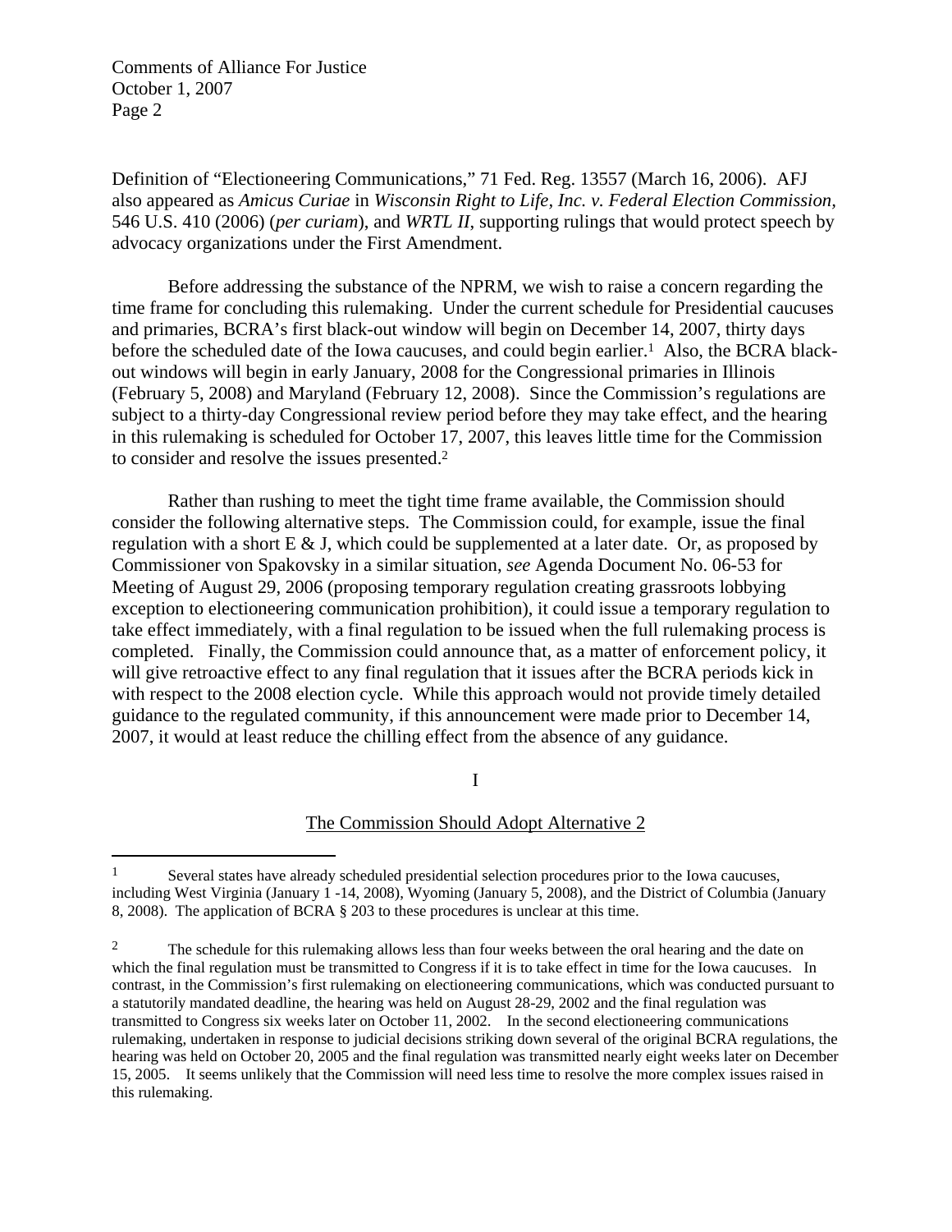$\overline{a}$ 

Definition of "Electioneering Communications," 71 Fed. Reg. 13557 (March 16, 2006).AFJ also appeared as *Amicus Curiae* in *Wisconsin Right to Life, Inc. v. Federal Election Commission,*  546 U.S. 410 (2006) (*per curiam*), and *WRTL II*, supporting rulings that would protect speech by advocacy organizations under the First Amendment.

 Before addressing the substance of the NPRM, we wish to raise a concern regarding the time frame for concluding this rulemaking. Under the current schedule for Presidential caucuses and primaries, BCRA's first black-out window will begin on December 14, 2007, thirty days before the scheduled date of the Iowa caucuses, and could begin earlier.<sup>1</sup> Also, the BCRA blackout windows will begin in early January, 2008 for the Congressional primaries in Illinois (February 5, 2008) and Maryland (February 12, 2008). Since the Commission's regulations are subject to a thirty-day Congressional review period before they may take effect, and the hearing in this rulemaking is scheduled for October 17, 2007, this leaves little time for the Commission to consider and resolve the issues presented.2

 Rather than rushing to meet the tight time frame available, the Commission should consider the following alternative steps. The Commission could, for example, issue the final regulation with a short  $E \& S$ , which could be supplemented at a later date. Or, as proposed by Commissioner von Spakovsky in a similar situation, *see* Agenda Document No. 06-53 for Meeting of August 29, 2006 (proposing temporary regulation creating grassroots lobbying exception to electioneering communication prohibition), it could issue a temporary regulation to take effect immediately, with a final regulation to be issued when the full rulemaking process is completed. Finally, the Commission could announce that, as a matter of enforcement policy, it will give retroactive effect to any final regulation that it issues after the BCRA periods kick in with respect to the 2008 election cycle. While this approach would not provide timely detailed guidance to the regulated community, if this announcement were made prior to December 14, 2007, it would at least reduce the chilling effect from the absence of any guidance.

I

#### The Commission Should Adopt Alternative 2

<sup>&</sup>lt;sup>1</sup> Several states have already scheduled presidential selection procedures prior to the Iowa caucuses, including West Virginia (January 1 -14, 2008), Wyoming (January 5, 2008), and the District of Columbia (January 8, 2008). The application of BCRA § 203 to these procedures is unclear at this time.

<sup>&</sup>lt;sup>2</sup> The schedule for this rulemaking allows less than four weeks between the oral hearing and the date on which the final regulation must be transmitted to Congress if it is to take effect in time for the Iowa caucuses. In contrast, in the Commission's first rulemaking on electioneering communications, which was conducted pursuant to a statutorily mandated deadline, the hearing was held on August 28-29, 2002 and the final regulation was transmitted to Congress six weeks later on October 11, 2002. In the second electioneering communications rulemaking, undertaken in response to judicial decisions striking down several of the original BCRA regulations, the hearing was held on October 20, 2005 and the final regulation was transmitted nearly eight weeks later on December 15, 2005. It seems unlikely that the Commission will need less time to resolve the more complex issues raised in this rulemaking.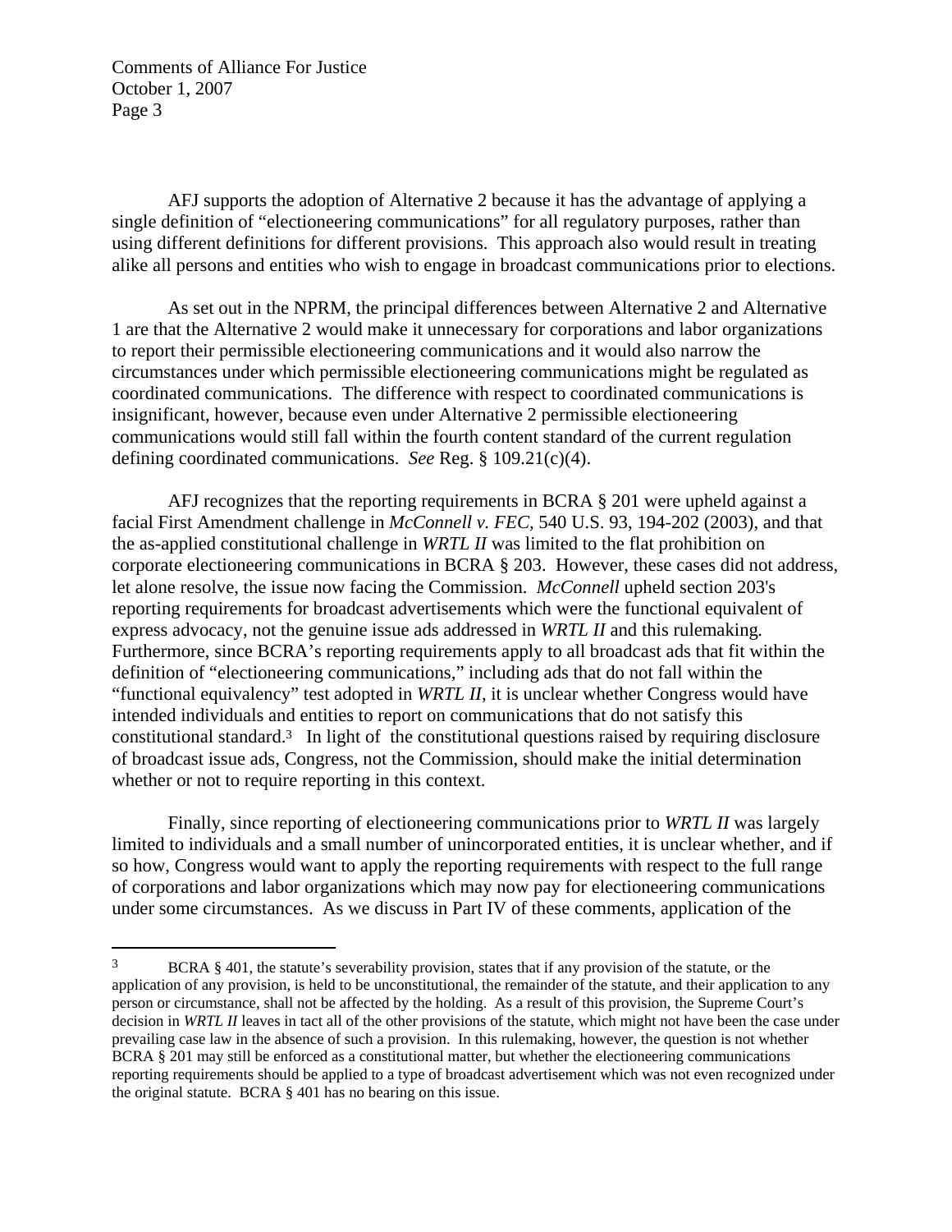$\overline{a}$ 

 AFJ supports the adoption of Alternative 2 because it has the advantage of applying a single definition of "electioneering communications" for all regulatory purposes, rather than using different definitions for different provisions. This approach also would result in treating alike all persons and entities who wish to engage in broadcast communications prior to elections.

 As set out in the NPRM, the principal differences between Alternative 2 and Alternative 1 are that the Alternative 2 would make it unnecessary for corporations and labor organizations to report their permissible electioneering communications and it would also narrow the circumstances under which permissible electioneering communications might be regulated as coordinated communications. The difference with respect to coordinated communications is insignificant, however, because even under Alternative 2 permissible electioneering communications would still fall within the fourth content standard of the current regulation defining coordinated communications. *See* Reg. § 109.21(c)(4).

 AFJ recognizes that the reporting requirements in BCRA § 201 were upheld against a facial First Amendment challenge in *McConnell v. FEC,* 540 U.S. 93, 194-202 (2003), and that the as-applied constitutional challenge in *WRTL II* was limited to the flat prohibition on corporate electioneering communications in BCRA § 203. However, these cases did not address, let alone resolve, the issue now facing the Commission. *McConnell* upheld section 203's reporting requirements for broadcast advertisements which were the functional equivalent of express advocacy, not the genuine issue ads addressed in *WRTL II* and this rulemaking*.*  Furthermore, since BCRA's reporting requirements apply to all broadcast ads that fit within the definition of "electioneering communications," including ads that do not fall within the "functional equivalency" test adopted in *WRTL II*, it is unclear whether Congress would have intended individuals and entities to report on communications that do not satisfy this constitutional standard.3 In light of the constitutional questions raised by requiring disclosure of broadcast issue ads, Congress, not the Commission, should make the initial determination whether or not to require reporting in this context.

 Finally, since reporting of electioneering communications prior to *WRTL II* was largely limited to individuals and a small number of unincorporated entities, it is unclear whether, and if so how, Congress would want to apply the reporting requirements with respect to the full range of corporations and labor organizations which may now pay for electioneering communications under some circumstances. As we discuss in Part IV of these comments, application of the

<sup>3</sup> BCRA § 401, the statute's severability provision, states that if any provision of the statute, or the application of any provision, is held to be unconstitutional, the remainder of the statute, and their application to any person or circumstance, shall not be affected by the holding. As a result of this provision, the Supreme Court's decision in *WRTL II* leaves in tact all of the other provisions of the statute, which might not have been the case under prevailing case law in the absence of such a provision. In this rulemaking, however, the question is not whether BCRA § 201 may still be enforced as a constitutional matter, but whether the electioneering communications reporting requirements should be applied to a type of broadcast advertisement which was not even recognized under the original statute. BCRA § 401 has no bearing on this issue.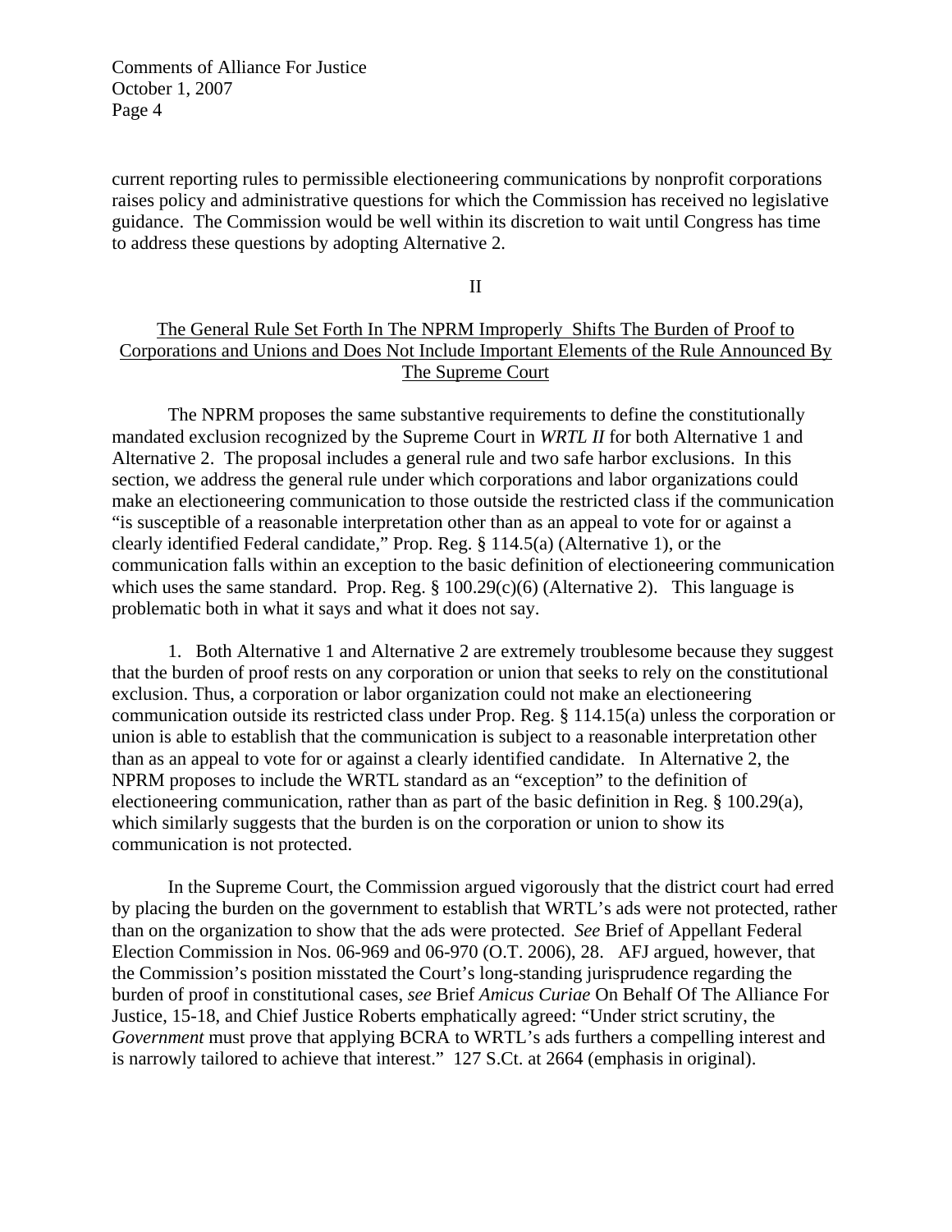current reporting rules to permissible electioneering communications by nonprofit corporations raises policy and administrative questions for which the Commission has received no legislative guidance. The Commission would be well within its discretion to wait until Congress has time to address these questions by adopting Alternative 2.

II

# The General Rule Set Forth In The NPRM Improperly Shifts The Burden of Proof to Corporations and Unions and Does Not Include Important Elements of the Rule Announced By The Supreme Court

 The NPRM proposes the same substantive requirements to define the constitutionally mandated exclusion recognized by the Supreme Court in *WRTL II* for both Alternative 1 and Alternative 2. The proposal includes a general rule and two safe harbor exclusions. In this section, we address the general rule under which corporations and labor organizations could make an electioneering communication to those outside the restricted class if the communication "is susceptible of a reasonable interpretation other than as an appeal to vote for or against a clearly identified Federal candidate," Prop. Reg. § 114.5(a) (Alternative 1), or the communication falls within an exception to the basic definition of electioneering communication which uses the same standard. Prop. Reg.  $\S$  100.29(c)(6) (Alternative 2). This language is problematic both in what it says and what it does not say.

 1. Both Alternative 1 and Alternative 2 are extremely troublesome because they suggest that the burden of proof rests on any corporation or union that seeks to rely on the constitutional exclusion. Thus, a corporation or labor organization could not make an electioneering communication outside its restricted class under Prop. Reg. § 114.15(a) unless the corporation or union is able to establish that the communication is subject to a reasonable interpretation other than as an appeal to vote for or against a clearly identified candidate. In Alternative 2, the NPRM proposes to include the WRTL standard as an "exception" to the definition of electioneering communication, rather than as part of the basic definition in Reg. § 100.29(a), which similarly suggests that the burden is on the corporation or union to show its communication is not protected.

 In the Supreme Court, the Commission argued vigorously that the district court had erred by placing the burden on the government to establish that WRTL's ads were not protected, rather than on the organization to show that the ads were protected. *See* Brief of Appellant Federal Election Commission in Nos. 06-969 and 06-970 (O.T. 2006), 28. AFJ argued, however, that the Commission's position misstated the Court's long-standing jurisprudence regarding the burden of proof in constitutional cases, *see* Brief *Amicus Curiae* On Behalf Of The Alliance For Justice, 15-18, and Chief Justice Roberts emphatically agreed: "Under strict scrutiny, the *Government* must prove that applying BCRA to WRTL's ads furthers a compelling interest and is narrowly tailored to achieve that interest." 127 S.Ct. at 2664 (emphasis in original).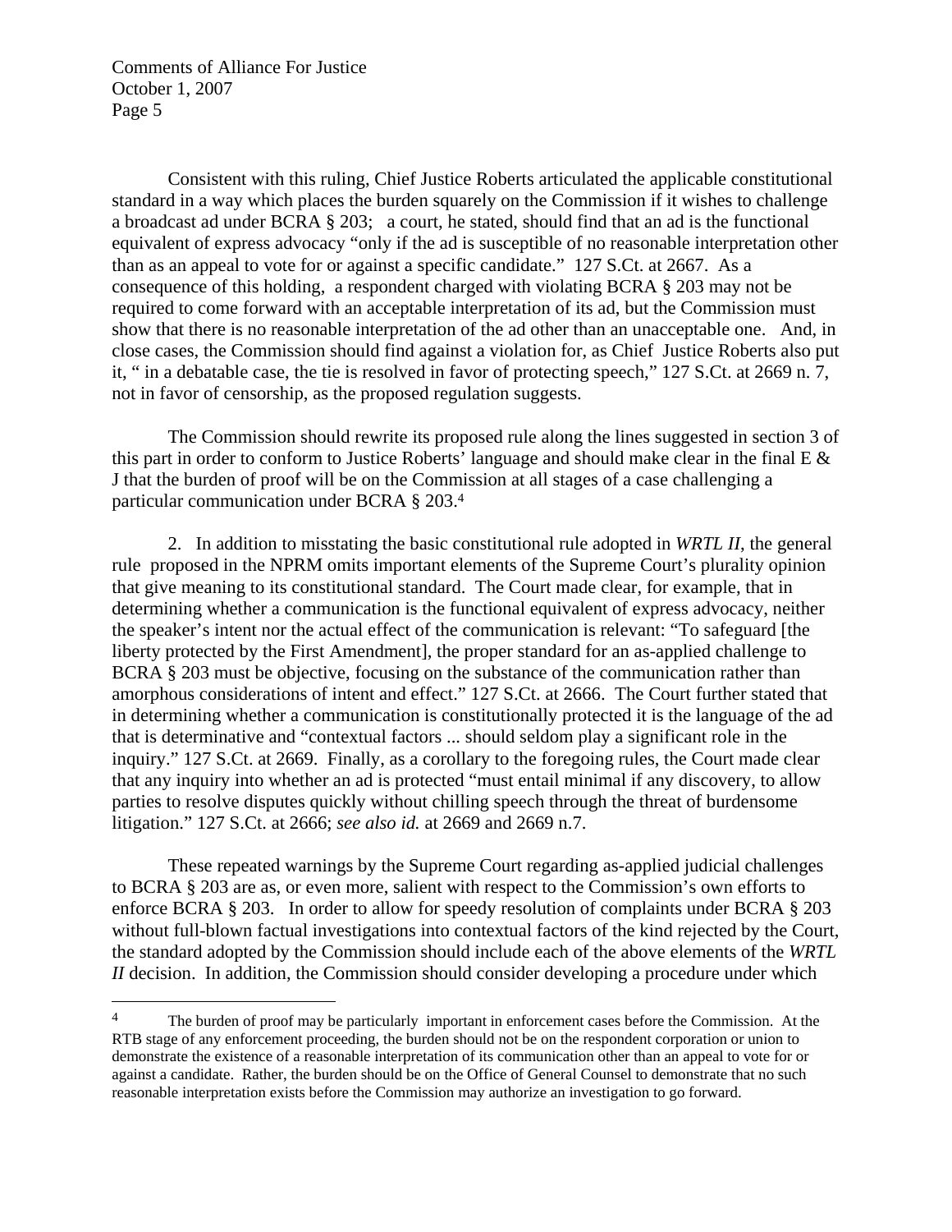$\overline{a}$ 

 Consistent with this ruling, Chief Justice Roberts articulated the applicable constitutional standard in a way which places the burden squarely on the Commission if it wishes to challenge a broadcast ad under BCRA § 203; a court, he stated, should find that an ad is the functional equivalent of express advocacy "only if the ad is susceptible of no reasonable interpretation other than as an appeal to vote for or against a specific candidate." 127 S.Ct. at 2667. As a consequence of this holding, a respondent charged with violating BCRA § 203 may not be required to come forward with an acceptable interpretation of its ad, but the Commission must show that there is no reasonable interpretation of the ad other than an unacceptable one. And, in close cases, the Commission should find against a violation for, as Chief Justice Roberts also put it, " in a debatable case, the tie is resolved in favor of protecting speech," 127 S.Ct. at 2669 n. 7, not in favor of censorship, as the proposed regulation suggests.

 The Commission should rewrite its proposed rule along the lines suggested in section 3 of this part in order to conform to Justice Roberts' language and should make clear in the final E & J that the burden of proof will be on the Commission at all stages of a case challenging a particular communication under BCRA § 203.4

 2. In addition to misstating the basic constitutional rule adopted in *WRTL II*, the general rule proposed in the NPRM omits important elements of the Supreme Court's plurality opinion that give meaning to its constitutional standard. The Court made clear, for example, that in determining whether a communication is the functional equivalent of express advocacy, neither the speaker's intent nor the actual effect of the communication is relevant: "To safeguard [the liberty protected by the First Amendment], the proper standard for an as-applied challenge to BCRA § 203 must be objective, focusing on the substance of the communication rather than amorphous considerations of intent and effect." 127 S.Ct. at 2666. The Court further stated that in determining whether a communication is constitutionally protected it is the language of the ad that is determinative and "contextual factors ... should seldom play a significant role in the inquiry." 127 S.Ct. at 2669. Finally, as a corollary to the foregoing rules, the Court made clear that any inquiry into whether an ad is protected "must entail minimal if any discovery, to allow parties to resolve disputes quickly without chilling speech through the threat of burdensome litigation." 127 S.Ct. at 2666; *see also id.* at 2669 and 2669 n.7.

 These repeated warnings by the Supreme Court regarding as-applied judicial challenges to BCRA § 203 are as, or even more, salient with respect to the Commission's own efforts to enforce BCRA § 203. In order to allow for speedy resolution of complaints under BCRA § 203 without full-blown factual investigations into contextual factors of the kind rejected by the Court, the standard adopted by the Commission should include each of the above elements of the *WRTL II* decision. In addition, the Commission should consider developing a procedure under which

<sup>&</sup>lt;sup>4</sup> The burden of proof may be particularly important in enforcement cases before the Commission. At the RTB stage of any enforcement proceeding, the burden should not be on the respondent corporation or union to demonstrate the existence of a reasonable interpretation of its communication other than an appeal to vote for or against a candidate. Rather, the burden should be on the Office of General Counsel to demonstrate that no such reasonable interpretation exists before the Commission may authorize an investigation to go forward.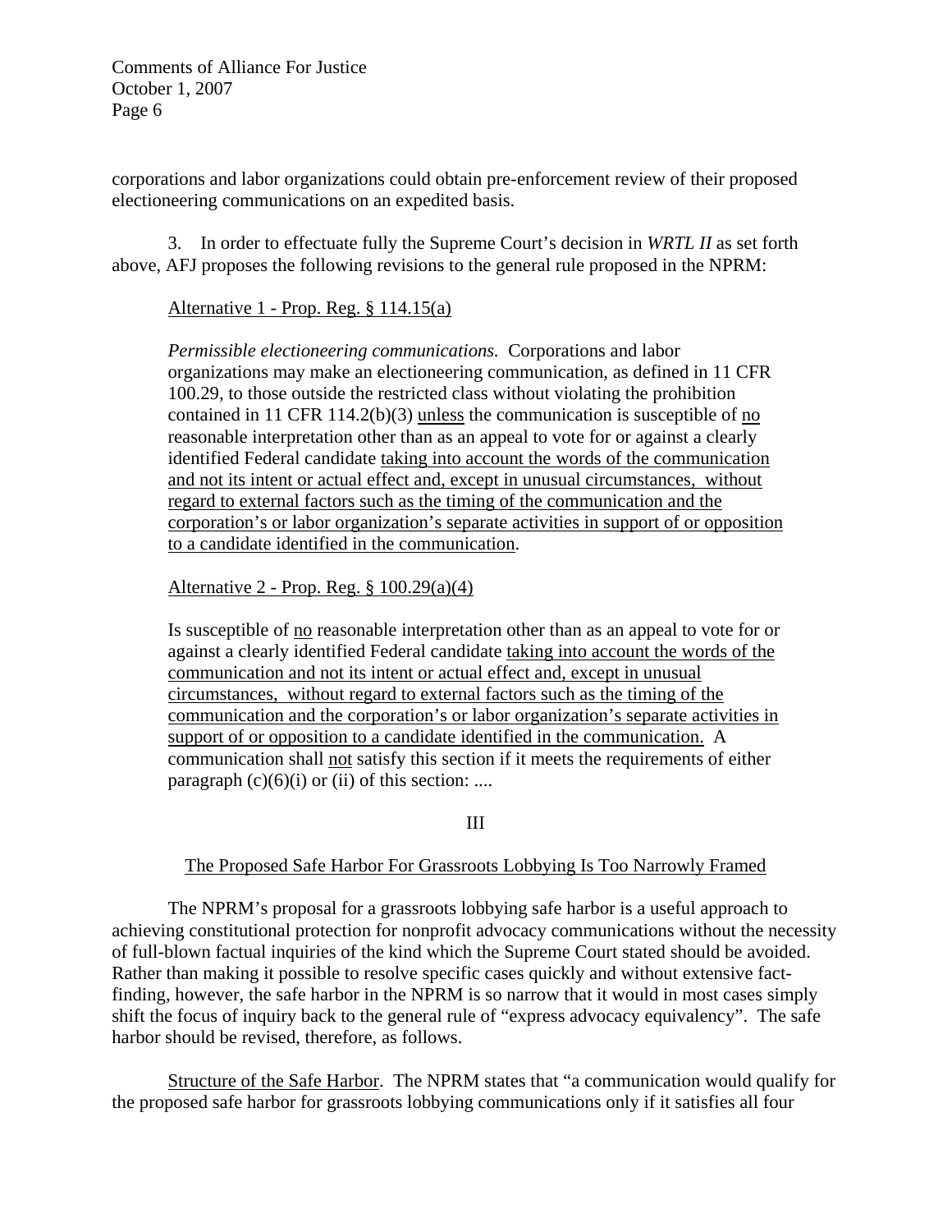corporations and labor organizations could obtain pre-enforcement review of their proposed electioneering communications on an expedited basis.

 3. In order to effectuate fully the Supreme Court's decision in *WRTL II* as set forth above, AFJ proposes the following revisions to the general rule proposed in the NPRM:

# Alternative 1 - Prop. Reg. § 114.15(a)

*Permissible electioneering communications.* Corporations and labor organizations may make an electioneering communication, as defined in 11 CFR 100.29, to those outside the restricted class without violating the prohibition contained in 11 CFR 114.2(b)(3) unless the communication is susceptible of no reasonable interpretation other than as an appeal to vote for or against a clearly identified Federal candidate taking into account the words of the communication and not its intent or actual effect and, except in unusual circumstances, without regard to external factors such as the timing of the communication and the corporation's or labor organization's separate activities in support of or opposition to a candidate identified in the communication.

Alternative 2 - Prop. Reg. § 100.29(a)(4)

Is susceptible of no reasonable interpretation other than as an appeal to vote for or against a clearly identified Federal candidate taking into account the words of the communication and not its intent or actual effect and, except in unusual circumstances, without regard to external factors such as the timing of the communication and the corporation's or labor organization's separate activities in support of or opposition to a candidate identified in the communication. A communication shall not satisfy this section if it meets the requirements of either paragraph  $(c)(6)(i)$  or  $(ii)$  of this section: ....

III

# The Proposed Safe Harbor For Grassroots Lobbying Is Too Narrowly Framed

 The NPRM's proposal for a grassroots lobbying safe harbor is a useful approach to achieving constitutional protection for nonprofit advocacy communications without the necessity of full-blown factual inquiries of the kind which the Supreme Court stated should be avoided. Rather than making it possible to resolve specific cases quickly and without extensive factfinding, however, the safe harbor in the NPRM is so narrow that it would in most cases simply shift the focus of inquiry back to the general rule of "express advocacy equivalency". The safe harbor should be revised, therefore, as follows.

 Structure of the Safe Harbor. The NPRM states that "a communication would qualify for the proposed safe harbor for grassroots lobbying communications only if it satisfies all four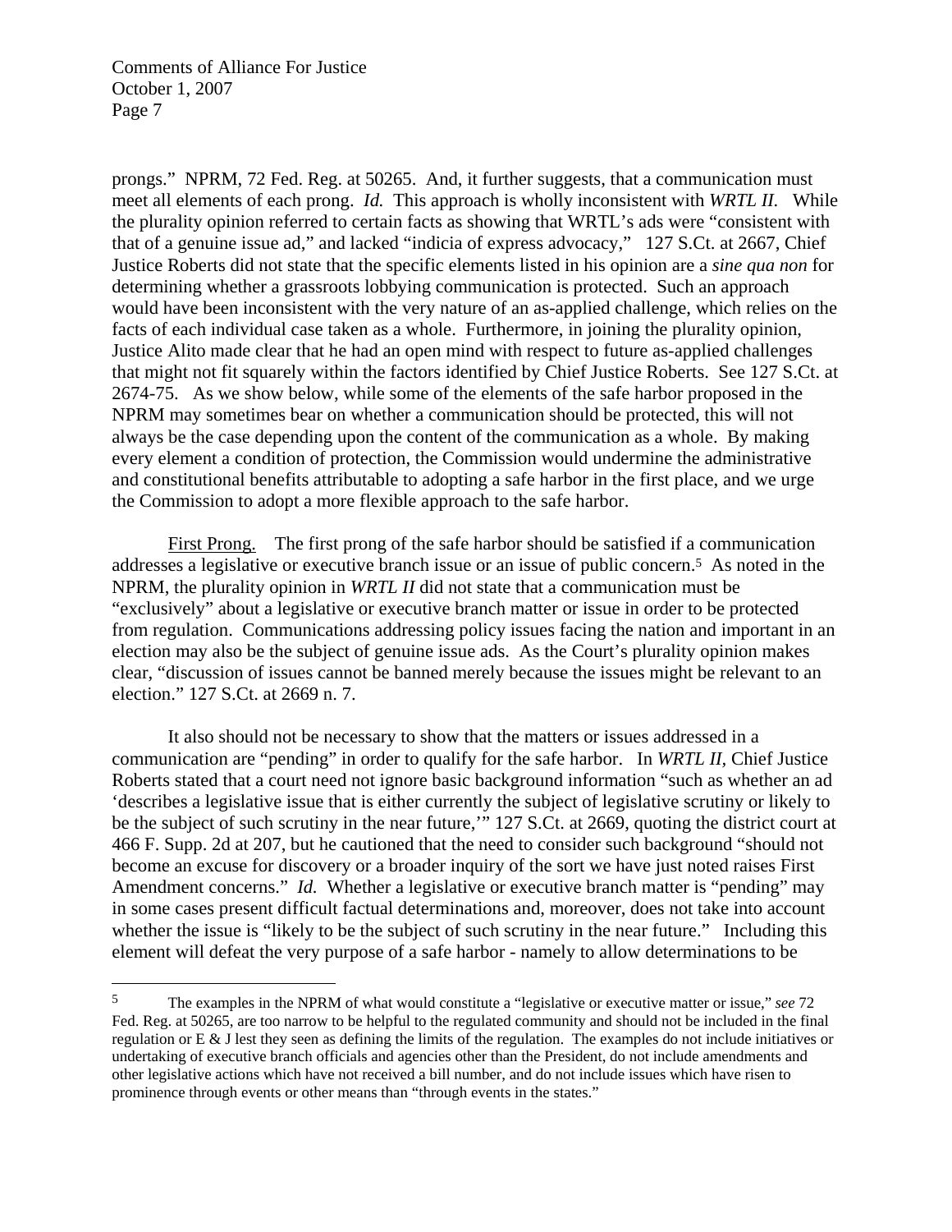1

prongs." NPRM, 72 Fed. Reg. at 50265. And, it further suggests, that a communication must meet all elements of each prong. *Id.* This approach is wholly inconsistent with *WRTL II.* While the plurality opinion referred to certain facts as showing that WRTL's ads were "consistent with that of a genuine issue ad," and lacked "indicia of express advocacy," 127 S.Ct. at 2667, Chief Justice Roberts did not state that the specific elements listed in his opinion are a *sine qua non* for determining whether a grassroots lobbying communication is protected. Such an approach would have been inconsistent with the very nature of an as-applied challenge, which relies on the facts of each individual case taken as a whole. Furthermore, in joining the plurality opinion, Justice Alito made clear that he had an open mind with respect to future as-applied challenges that might not fit squarely within the factors identified by Chief Justice Roberts. See 127 S.Ct. at 2674-75. As we show below, while some of the elements of the safe harbor proposed in the NPRM may sometimes bear on whether a communication should be protected, this will not always be the case depending upon the content of the communication as a whole. By making every element a condition of protection, the Commission would undermine the administrative and constitutional benefits attributable to adopting a safe harbor in the first place, and we urge the Commission to adopt a more flexible approach to the safe harbor.

 First Prong. The first prong of the safe harbor should be satisfied if a communication addresses a legislative or executive branch issue or an issue of public concern.5 As noted in the NPRM, the plurality opinion in *WRTL II* did not state that a communication must be "exclusively" about a legislative or executive branch matter or issue in order to be protected from regulation. Communications addressing policy issues facing the nation and important in an election may also be the subject of genuine issue ads. As the Court's plurality opinion makes clear, "discussion of issues cannot be banned merely because the issues might be relevant to an election." 127 S.Ct. at 2669 n. 7.

 It also should not be necessary to show that the matters or issues addressed in a communication are "pending" in order to qualify for the safe harbor. In *WRTL II,* Chief Justice Roberts stated that a court need not ignore basic background information "such as whether an ad 'describes a legislative issue that is either currently the subject of legislative scrutiny or likely to be the subject of such scrutiny in the near future,'" 127 S.Ct. at 2669, quoting the district court at 466 F. Supp. 2d at 207, but he cautioned that the need to consider such background "should not become an excuse for discovery or a broader inquiry of the sort we have just noted raises First Amendment concerns." *Id.* Whether a legislative or executive branch matter is "pending" may in some cases present difficult factual determinations and, moreover, does not take into account whether the issue is "likely to be the subject of such scrutiny in the near future." Including this element will defeat the very purpose of a safe harbor - namely to allow determinations to be

<sup>5</sup> The examples in the NPRM of what would constitute a "legislative or executive matter or issue," *see* 72 Fed. Reg. at 50265, are too narrow to be helpful to the regulated community and should not be included in the final regulation or E & J lest they seen as defining the limits of the regulation. The examples do not include initiatives or undertaking of executive branch officials and agencies other than the President, do not include amendments and other legislative actions which have not received a bill number, and do not include issues which have risen to prominence through events or other means than "through events in the states."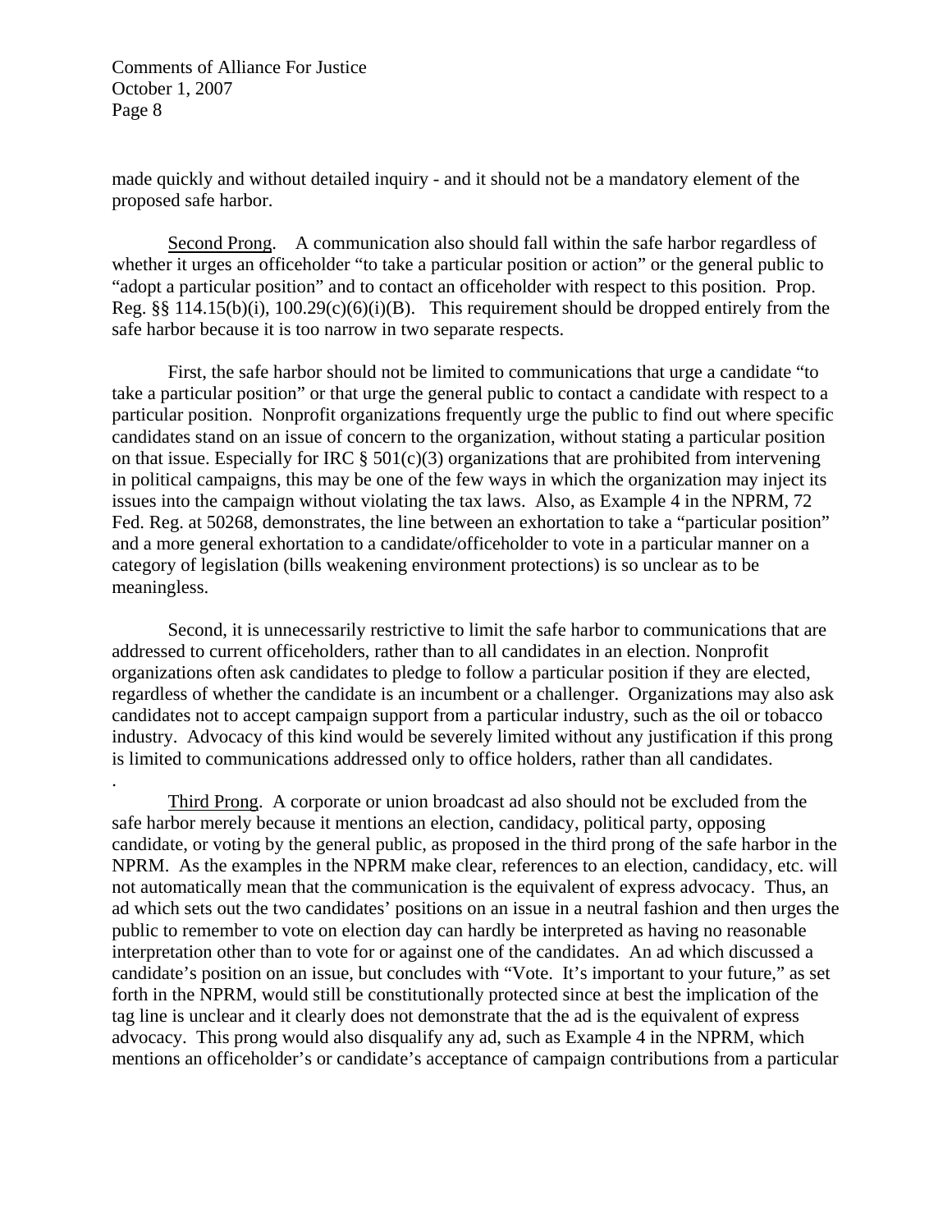.

made quickly and without detailed inquiry - and it should not be a mandatory element of the proposed safe harbor.

 Second Prong. A communication also should fall within the safe harbor regardless of whether it urges an officeholder "to take a particular position or action" or the general public to "adopt a particular position" and to contact an officeholder with respect to this position. Prop. Reg. §§ 114.15(b)(i),  $100.29(c)(6)(i)(B)$ . This requirement should be dropped entirely from the safe harbor because it is too narrow in two separate respects.

 First, the safe harbor should not be limited to communications that urge a candidate "to take a particular position" or that urge the general public to contact a candidate with respect to a particular position. Nonprofit organizations frequently urge the public to find out where specific candidates stand on an issue of concern to the organization, without stating a particular position on that issue. Especially for IRC  $\S 501(c)(3)$  organizations that are prohibited from intervening in political campaigns, this may be one of the few ways in which the organization may inject its issues into the campaign without violating the tax laws. Also, as Example 4 in the NPRM, 72 Fed. Reg. at 50268, demonstrates, the line between an exhortation to take a "particular position" and a more general exhortation to a candidate/officeholder to vote in a particular manner on a category of legislation (bills weakening environment protections) is so unclear as to be meaningless.

 Second, it is unnecessarily restrictive to limit the safe harbor to communications that are addressed to current officeholders, rather than to all candidates in an election. Nonprofit organizations often ask candidates to pledge to follow a particular position if they are elected, regardless of whether the candidate is an incumbent or a challenger. Organizations may also ask candidates not to accept campaign support from a particular industry, such as the oil or tobacco industry. Advocacy of this kind would be severely limited without any justification if this prong is limited to communications addressed only to office holders, rather than all candidates.

 Third Prong. A corporate or union broadcast ad also should not be excluded from the safe harbor merely because it mentions an election, candidacy, political party, opposing candidate, or voting by the general public, as proposed in the third prong of the safe harbor in the NPRM. As the examples in the NPRM make clear, references to an election, candidacy, etc. will not automatically mean that the communication is the equivalent of express advocacy. Thus, an ad which sets out the two candidates' positions on an issue in a neutral fashion and then urges the public to remember to vote on election day can hardly be interpreted as having no reasonable interpretation other than to vote for or against one of the candidates. An ad which discussed a candidate's position on an issue, but concludes with "Vote. It's important to your future," as set forth in the NPRM, would still be constitutionally protected since at best the implication of the tag line is unclear and it clearly does not demonstrate that the ad is the equivalent of express advocacy. This prong would also disqualify any ad, such as Example 4 in the NPRM, which mentions an officeholder's or candidate's acceptance of campaign contributions from a particular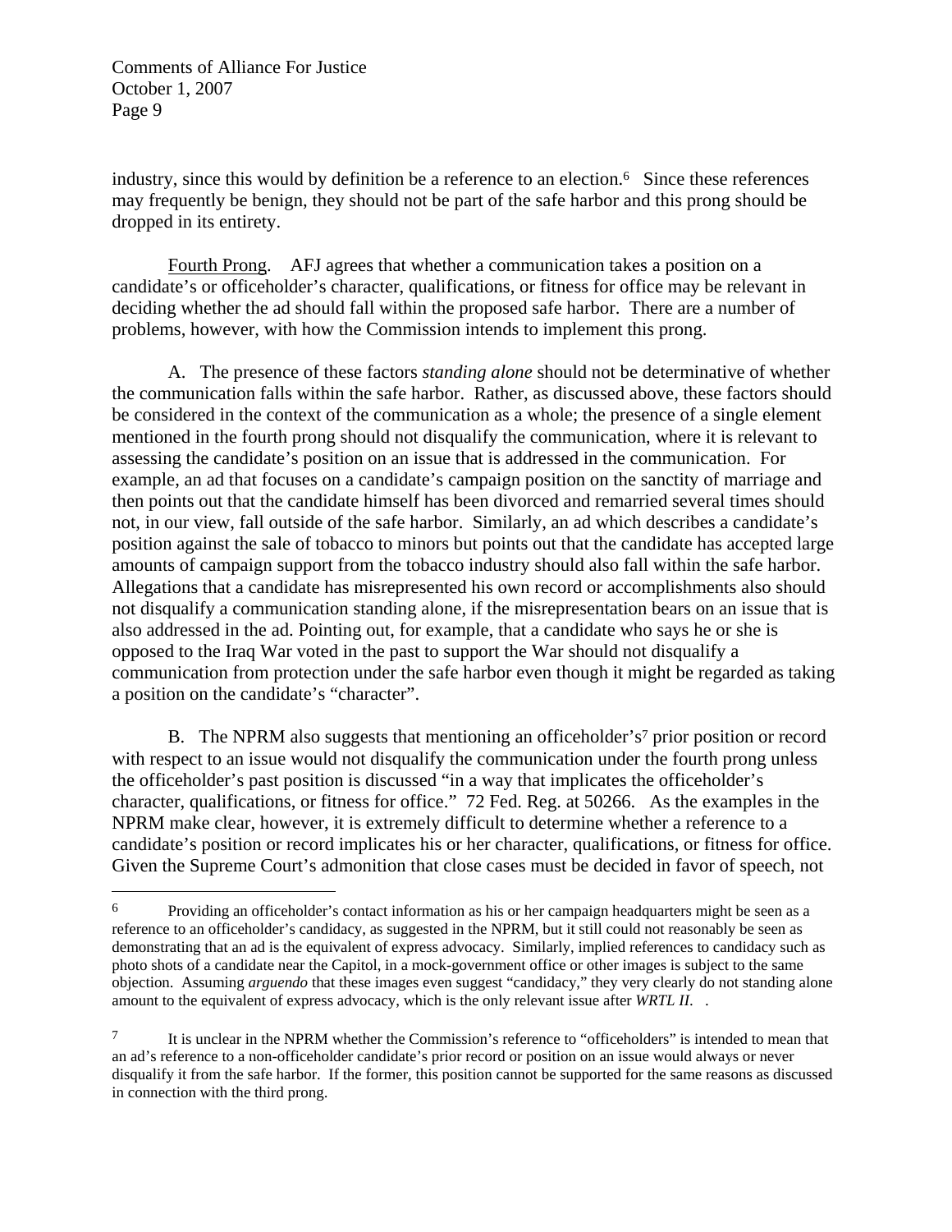$\overline{a}$ 

industry, since this would by definition be a reference to an election.<sup>6</sup> Since these references may frequently be benign, they should not be part of the safe harbor and this prong should be dropped in its entirety.

 Fourth Prong. AFJ agrees that whether a communication takes a position on a candidate's or officeholder's character, qualifications, or fitness for office may be relevant in deciding whether the ad should fall within the proposed safe harbor. There are a number of problems, however, with how the Commission intends to implement this prong.

 A. The presence of these factors *standing alone* should not be determinative of whether the communication falls within the safe harbor. Rather, as discussed above, these factors should be considered in the context of the communication as a whole; the presence of a single element mentioned in the fourth prong should not disqualify the communication, where it is relevant to assessing the candidate's position on an issue that is addressed in the communication. For example, an ad that focuses on a candidate's campaign position on the sanctity of marriage and then points out that the candidate himself has been divorced and remarried several times should not, in our view, fall outside of the safe harbor. Similarly, an ad which describes a candidate's position against the sale of tobacco to minors but points out that the candidate has accepted large amounts of campaign support from the tobacco industry should also fall within the safe harbor. Allegations that a candidate has misrepresented his own record or accomplishments also should not disqualify a communication standing alone, if the misrepresentation bears on an issue that is also addressed in the ad. Pointing out, for example, that a candidate who says he or she is opposed to the Iraq War voted in the past to support the War should not disqualify a communication from protection under the safe harbor even though it might be regarded as taking a position on the candidate's "character".

B. The NPRM also suggests that mentioning an officeholder's<sup>7</sup> prior position or record with respect to an issue would not disqualify the communication under the fourth prong unless the officeholder's past position is discussed "in a way that implicates the officeholder's character, qualifications, or fitness for office." 72 Fed. Reg. at 50266. As the examples in the NPRM make clear, however, it is extremely difficult to determine whether a reference to a candidate's position or record implicates his or her character, qualifications, or fitness for office. Given the Supreme Court's admonition that close cases must be decided in favor of speech, not

<sup>6</sup> Providing an officeholder's contact information as his or her campaign headquarters might be seen as a reference to an officeholder's candidacy, as suggested in the NPRM, but it still could not reasonably be seen as demonstrating that an ad is the equivalent of express advocacy. Similarly, implied references to candidacy such as photo shots of a candidate near the Capitol, in a mock-government office or other images is subject to the same objection. Assuming *arguendo* that these images even suggest "candidacy," they very clearly do not standing alone amount to the equivalent of express advocacy, which is the only relevant issue after *WRTL II*. .

 $7 \tI$  is unclear in the NPRM whether the Commission's reference to "officeholders" is intended to mean that an ad's reference to a non-officeholder candidate's prior record or position on an issue would always or never disqualify it from the safe harbor. If the former, this position cannot be supported for the same reasons as discussed in connection with the third prong.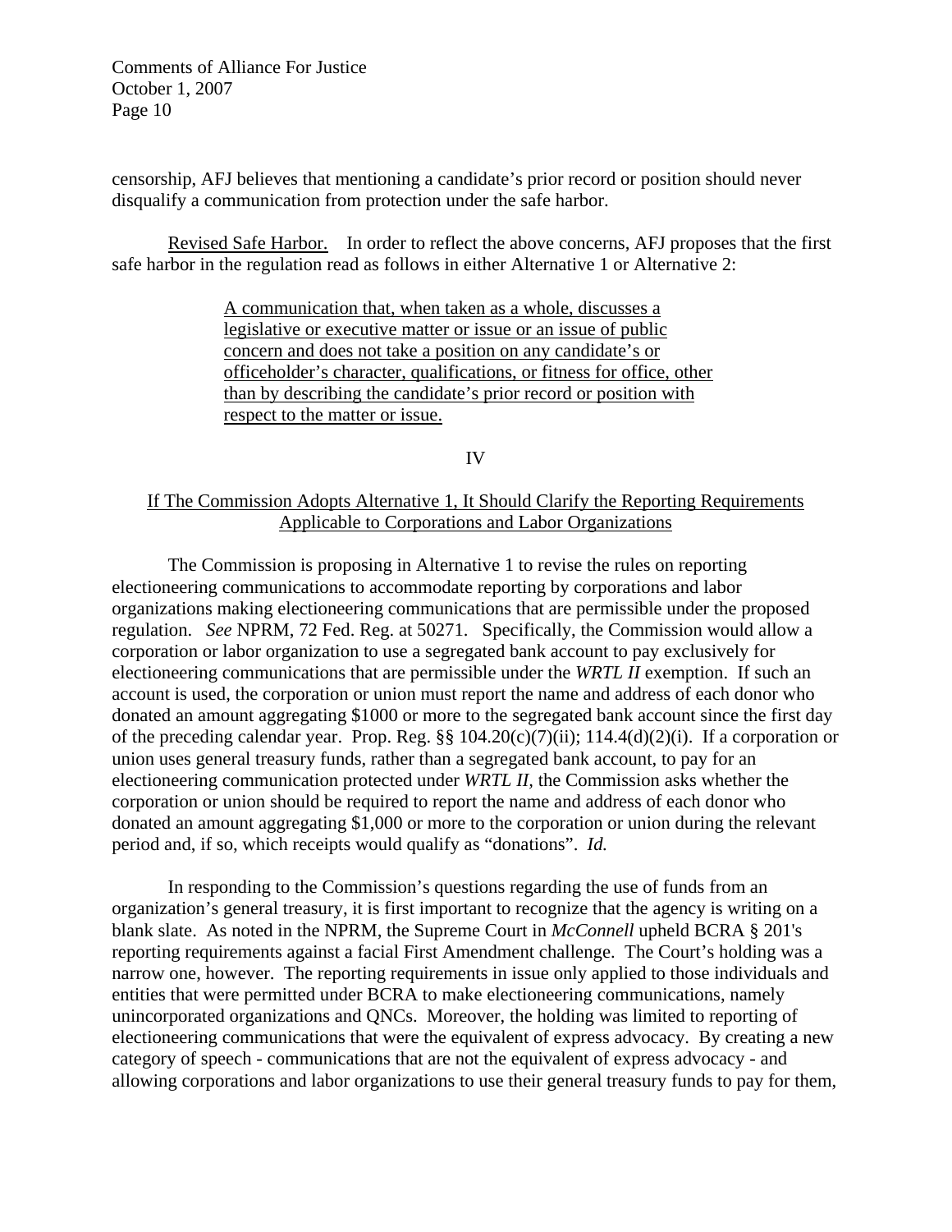censorship, AFJ believes that mentioning a candidate's prior record or position should never disqualify a communication from protection under the safe harbor.

Revised Safe Harbor. In order to reflect the above concerns, AFJ proposes that the first safe harbor in the regulation read as follows in either Alternative 1 or Alternative 2:

> A communication that, when taken as a whole, discusses a legislative or executive matter or issue or an issue of public concern and does not take a position on any candidate's or officeholder's character, qualifications, or fitness for office, other than by describing the candidate's prior record or position with respect to the matter or issue.

> > IV

## If The Commission Adopts Alternative 1, It Should Clarify the Reporting Requirements Applicable to Corporations and Labor Organizations

 The Commission is proposing in Alternative 1 to revise the rules on reporting electioneering communications to accommodate reporting by corporations and labor organizations making electioneering communications that are permissible under the proposed regulation. *See* NPRM, 72 Fed. Reg. at 50271. Specifically, the Commission would allow a corporation or labor organization to use a segregated bank account to pay exclusively for electioneering communications that are permissible under the *WRTL II* exemption. If such an account is used, the corporation or union must report the name and address of each donor who donated an amount aggregating \$1000 or more to the segregated bank account since the first day of the preceding calendar year. Prop. Reg. §§ 104.20(c)(7)(ii); 114.4(d)(2)(i). If a corporation or union uses general treasury funds, rather than a segregated bank account, to pay for an electioneering communication protected under *WRTL II,* the Commission asks whether the corporation or union should be required to report the name and address of each donor who donated an amount aggregating \$1,000 or more to the corporation or union during the relevant period and, if so, which receipts would qualify as "donations". *Id.*

 In responding to the Commission's questions regarding the use of funds from an organization's general treasury, it is first important to recognize that the agency is writing on a blank slate. As noted in the NPRM, the Supreme Court in *McConnell* upheld BCRA § 201's reporting requirements against a facial First Amendment challenge. The Court's holding was a narrow one, however. The reporting requirements in issue only applied to those individuals and entities that were permitted under BCRA to make electioneering communications, namely unincorporated organizations and QNCs. Moreover, the holding was limited to reporting of electioneering communications that were the equivalent of express advocacy. By creating a new category of speech - communications that are not the equivalent of express advocacy - and allowing corporations and labor organizations to use their general treasury funds to pay for them,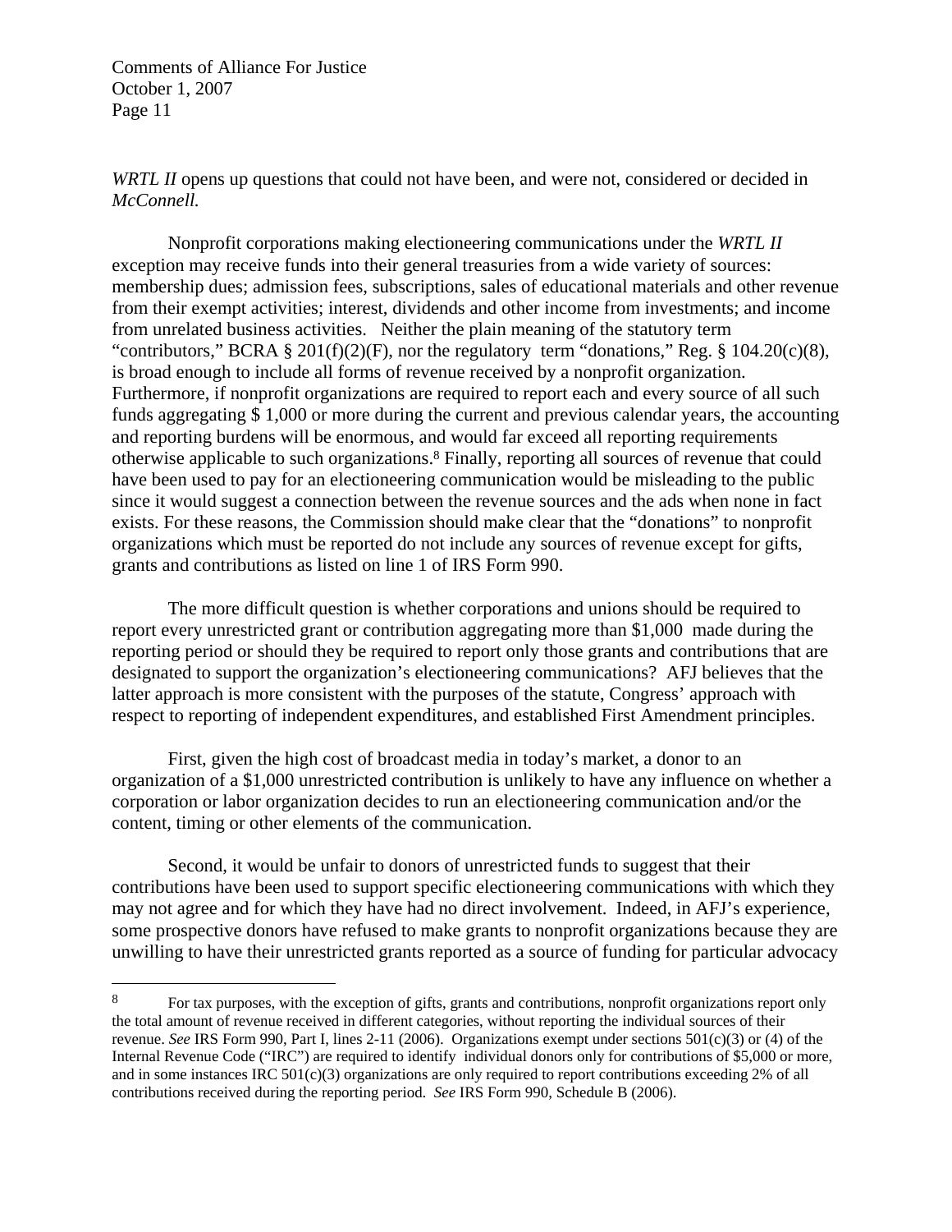$\overline{a}$ 

*WRTL II* opens up questions that could not have been, and were not, considered or decided in *McConnell.* 

 Nonprofit corporations making electioneering communications under the *WRTL II*  exception may receive funds into their general treasuries from a wide variety of sources: membership dues; admission fees, subscriptions, sales of educational materials and other revenue from their exempt activities; interest, dividends and other income from investments; and income from unrelated business activities. Neither the plain meaning of the statutory term "contributors," BCRA  $\S 201(f)(2)(F)$ , nor the regulatory term "donations," Reg.  $\S 104.20(c)(8)$ , is broad enough to include all forms of revenue received by a nonprofit organization. Furthermore, if nonprofit organizations are required to report each and every source of all such funds aggregating \$ 1,000 or more during the current and previous calendar years, the accounting and reporting burdens will be enormous, and would far exceed all reporting requirements otherwise applicable to such organizations.8 Finally, reporting all sources of revenue that could have been used to pay for an electioneering communication would be misleading to the public since it would suggest a connection between the revenue sources and the ads when none in fact exists. For these reasons, the Commission should make clear that the "donations" to nonprofit organizations which must be reported do not include any sources of revenue except for gifts, grants and contributions as listed on line 1 of IRS Form 990.

 The more difficult question is whether corporations and unions should be required to report every unrestricted grant or contribution aggregating more than \$1,000 made during the reporting period or should they be required to report only those grants and contributions that are designated to support the organization's electioneering communications? AFJ believes that the latter approach is more consistent with the purposes of the statute, Congress' approach with respect to reporting of independent expenditures, and established First Amendment principles.

 First, given the high cost of broadcast media in today's market, a donor to an organization of a \$1,000 unrestricted contribution is unlikely to have any influence on whether a corporation or labor organization decides to run an electioneering communication and/or the content, timing or other elements of the communication.

 Second, it would be unfair to donors of unrestricted funds to suggest that their contributions have been used to support specific electioneering communications with which they may not agree and for which they have had no direct involvement. Indeed, in AFJ's experience, some prospective donors have refused to make grants to nonprofit organizations because they are unwilling to have their unrestricted grants reported as a source of funding for particular advocacy

<sup>8</sup> For tax purposes, with the exception of gifts, grants and contributions, nonprofit organizations report only the total amount of revenue received in different categories, without reporting the individual sources of their revenue. *See* IRS Form 990, Part I, lines 2-11 (2006). Organizations exempt under sections 501(c)(3) or (4) of the Internal Revenue Code ("IRC") are required to identify individual donors only for contributions of \$5,000 or more, and in some instances IRC  $501(c)(3)$  organizations are only required to report contributions exceeding 2% of all contributions received during the reporting period. *See* IRS Form 990, Schedule B (2006).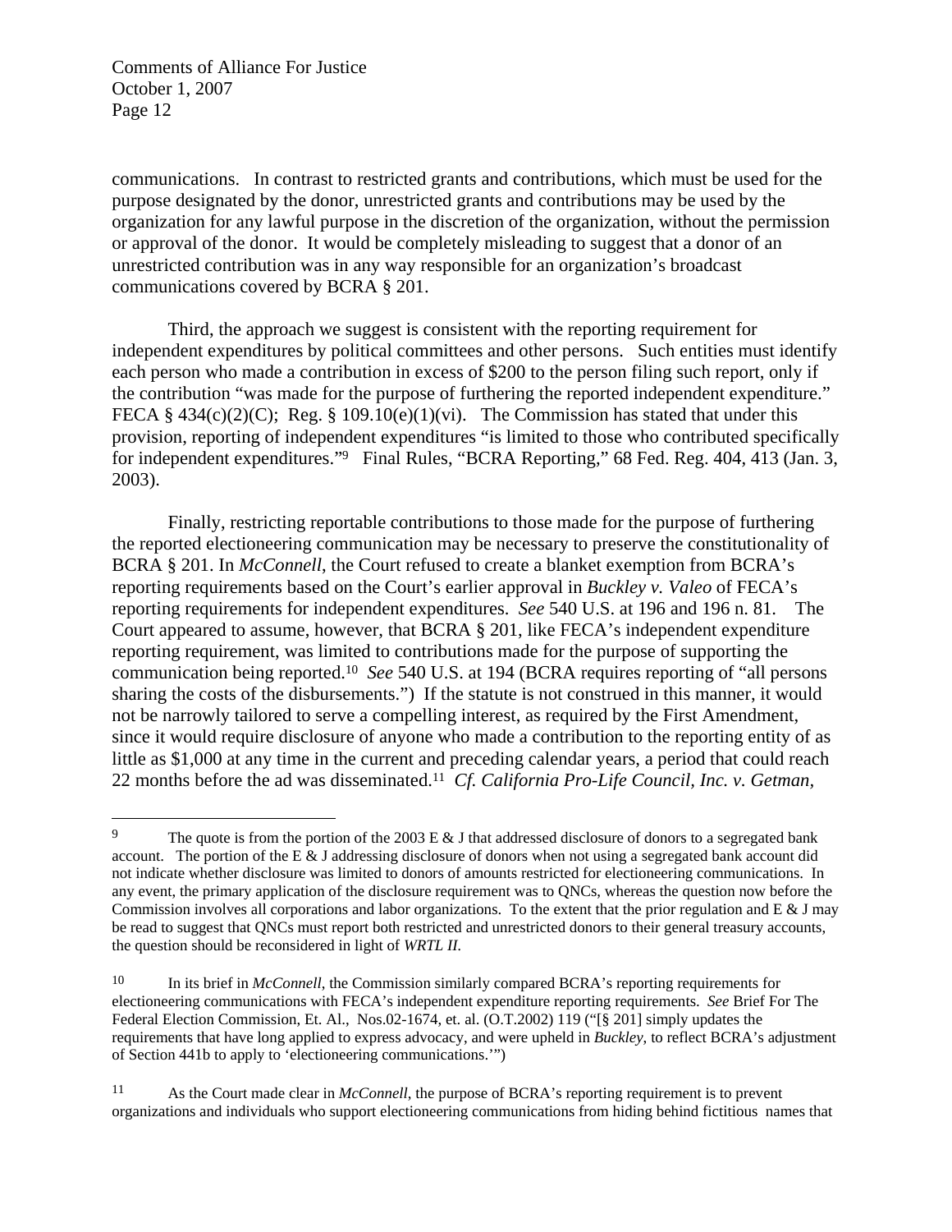1

communications. In contrast to restricted grants and contributions, which must be used for the purpose designated by the donor, unrestricted grants and contributions may be used by the organization for any lawful purpose in the discretion of the organization, without the permission or approval of the donor. It would be completely misleading to suggest that a donor of an unrestricted contribution was in any way responsible for an organization's broadcast communications covered by BCRA § 201.

 Third, the approach we suggest is consistent with the reporting requirement for independent expenditures by political committees and other persons. Such entities must identify each person who made a contribution in excess of \$200 to the person filing such report, only if the contribution "was made for the purpose of furthering the reported independent expenditure." FECA § 434(c)(2)(C); Reg. § 109.10(e)(1)(vi). The Commission has stated that under this provision, reporting of independent expenditures "is limited to those who contributed specifically for independent expenditures."<sup>9</sup> Final Rules, "BCRA Reporting," 68 Fed. Reg. 404, 413 (Jan. 3, 2003).

 Finally, restricting reportable contributions to those made for the purpose of furthering the reported electioneering communication may be necessary to preserve the constitutionality of BCRA § 201. In *McConnell*, the Court refused to create a blanket exemption from BCRA's reporting requirements based on the Court's earlier approval in *Buckley v. Valeo* of FECA's reporting requirements for independent expenditures. *See* 540 U.S. at 196 and 196 n. 81. The Court appeared to assume, however, that BCRA § 201, like FECA's independent expenditure reporting requirement, was limited to contributions made for the purpose of supporting the communication being reported.10 *See* 540 U.S. at 194 (BCRA requires reporting of "all persons sharing the costs of the disbursements.") If the statute is not construed in this manner, it would not be narrowly tailored to serve a compelling interest, as required by the First Amendment, since it would require disclosure of anyone who made a contribution to the reporting entity of as little as \$1,000 at any time in the current and preceding calendar years, a period that could reach 22 months before the ad was disseminated.11 *Cf. California Pro-Life Council, Inc. v. Getman,*

<sup>&</sup>lt;sup>9</sup> The quote is from the portion of the 2003 E  $&$  J that addressed disclosure of donors to a segregated bank account. The portion of the E & J addressing disclosure of donors when not using a segregated bank account did not indicate whether disclosure was limited to donors of amounts restricted for electioneering communications. In any event, the primary application of the disclosure requirement was to QNCs, whereas the question now before the Commission involves all corporations and labor organizations. To the extent that the prior regulation and  $E \& J$  may be read to suggest that QNCs must report both restricted and unrestricted donors to their general treasury accounts, the question should be reconsidered in light of *WRTL II.* 

<sup>10</sup> In its brief in *McConnell*, the Commission similarly compared BCRA's reporting requirements for electioneering communications with FECA's independent expenditure reporting requirements. *See* Brief For The Federal Election Commission, Et. Al., Nos.02-1674, et. al. (O.T.2002) 119 ("[§ 201] simply updates the requirements that have long applied to express advocacy, and were upheld in *Buckley*, to reflect BCRA's adjustment of Section 441b to apply to 'electioneering communications.'")

<sup>11</sup> As the Court made clear in *McConnell*, the purpose of BCRA's reporting requirement is to prevent organizations and individuals who support electioneering communications from hiding behind fictitious names that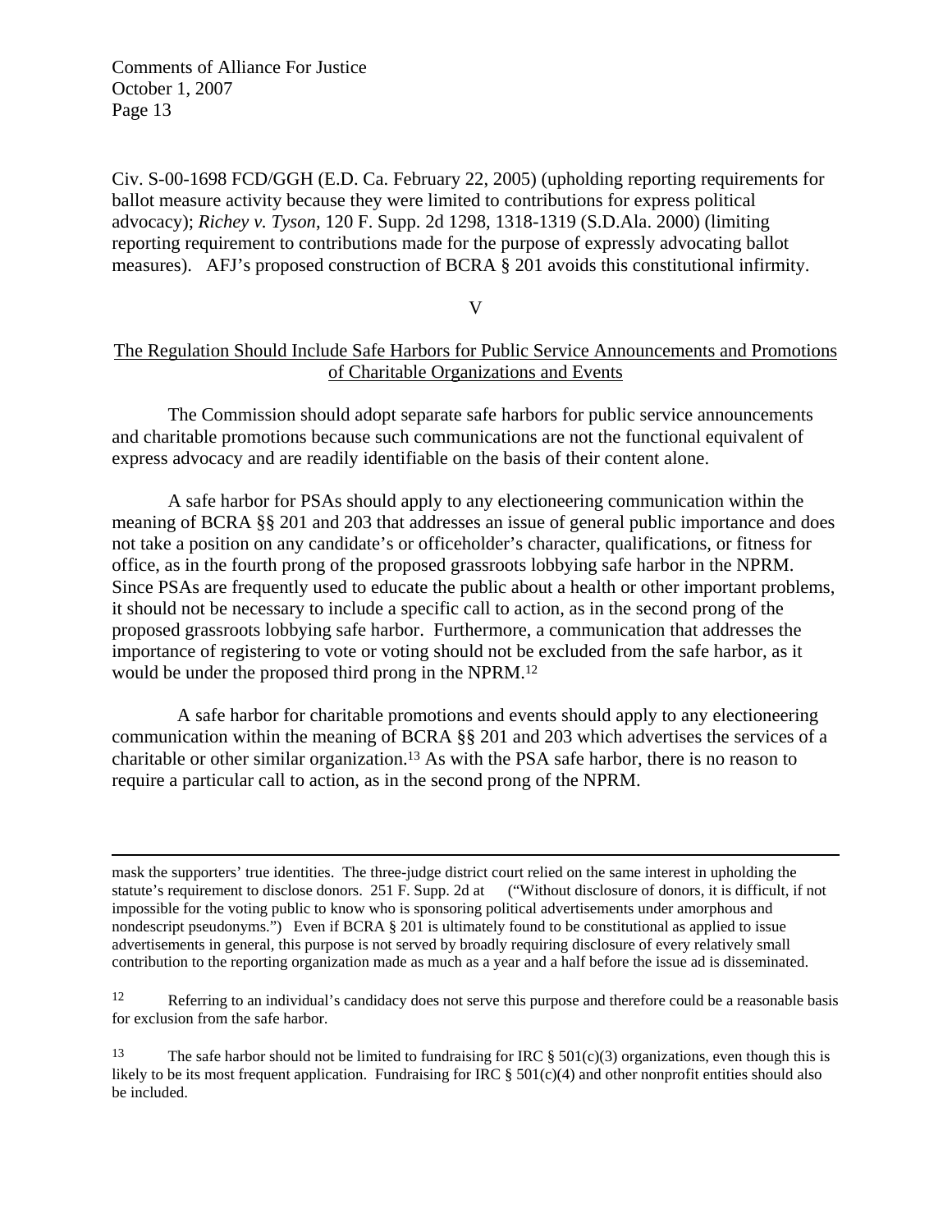Civ. S-00-1698 FCD/GGH (E.D. Ca. February 22, 2005) (upholding reporting requirements for ballot measure activity because they were limited to contributions for express political advocacy); *Richey v. Tyson*, 120 F. Supp. 2d 1298, 1318-1319 (S.D.Ala. 2000) (limiting reporting requirement to contributions made for the purpose of expressly advocating ballot measures). AFJ's proposed construction of BCRA § 201 avoids this constitutional infirmity.

V

## The Regulation Should Include Safe Harbors for Public Service Announcements and Promotions of Charitable Organizations and Events

 The Commission should adopt separate safe harbors for public service announcements and charitable promotions because such communications are not the functional equivalent of express advocacy and are readily identifiable on the basis of their content alone.

 A safe harbor for PSAs should apply to any electioneering communication within the meaning of BCRA §§ 201 and 203 that addresses an issue of general public importance and does not take a position on any candidate's or officeholder's character, qualifications, or fitness for office, as in the fourth prong of the proposed grassroots lobbying safe harbor in the NPRM. Since PSAs are frequently used to educate the public about a health or other important problems, it should not be necessary to include a specific call to action, as in the second prong of the proposed grassroots lobbying safe harbor. Furthermore, a communication that addresses the importance of registering to vote or voting should not be excluded from the safe harbor, as it would be under the proposed third prong in the NPRM.12

 A safe harbor for charitable promotions and events should apply to any electioneering communication within the meaning of BCRA §§ 201 and 203 which advertises the services of a charitable or other similar organization.13 As with the PSA safe harbor, there is no reason to require a particular call to action, as in the second prong of the NPRM.

 mask the supporters' true identities. The three-judge district court relied on the same interest in upholding the statute's requirement to disclose donors. 251 F. Supp. 2d at ("Without disclosure of donors, it is difficult, if not impossible for the voting public to know who is sponsoring political advertisements under amorphous and nondescript pseudonyms.") Even if BCRA § 201 is ultimately found to be constitutional as applied to issue advertisements in general, this purpose is not served by broadly requiring disclosure of every relatively small contribution to the reporting organization made as much as a year and a half before the issue ad is disseminated.

12 Referring to an individual's candidacy does not serve this purpose and therefore could be a reasonable basis for exclusion from the safe harbor.

<sup>13</sup> The safe harbor should not be limited to fundraising for IRC § 501(c)(3) organizations, even though this is likely to be its most frequent application. Fundraising for IRC  $\S$  501(c)(4) and other nonprofit entities should also be included.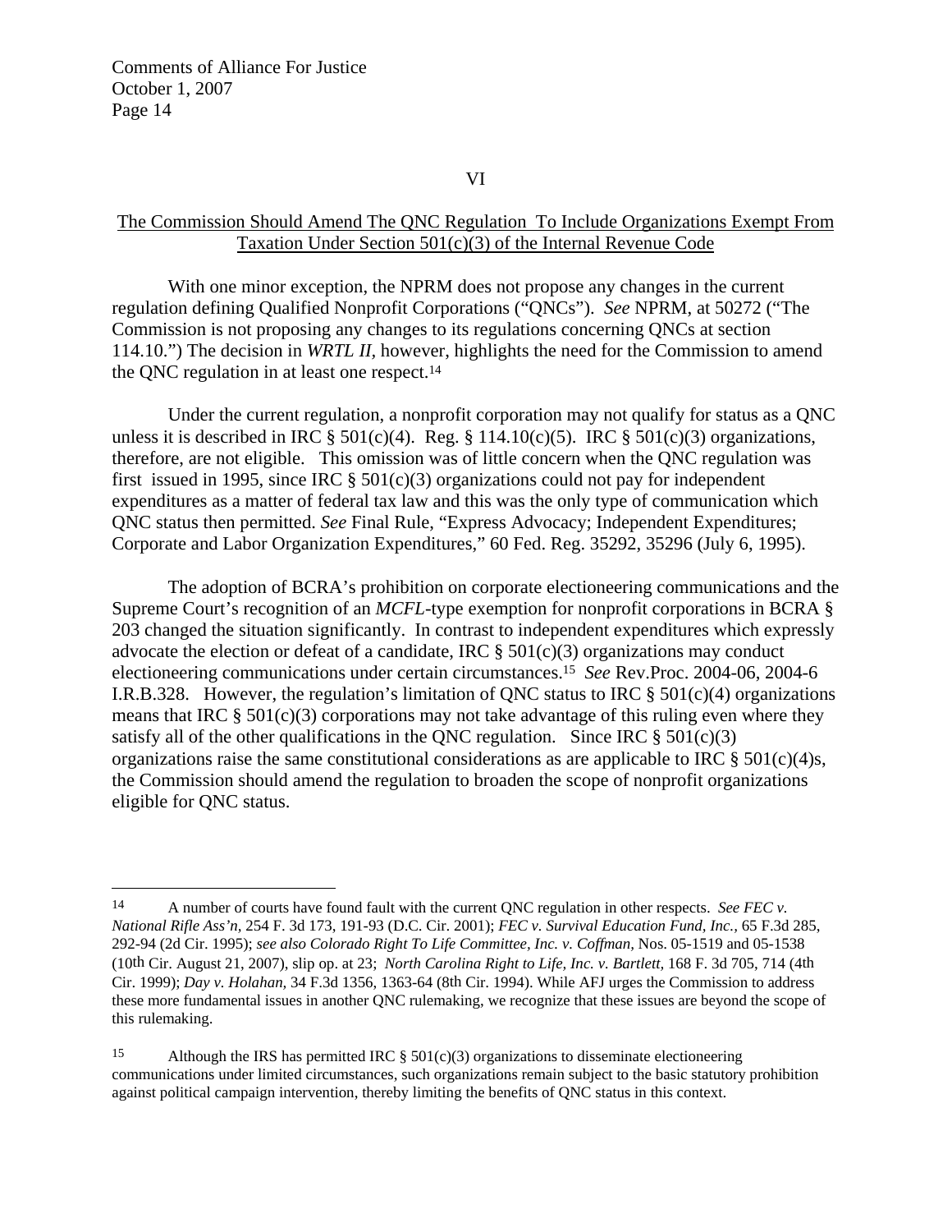$\overline{a}$ 

VI

### The Commission Should Amend The QNC Regulation To Include Organizations Exempt From Taxation Under Section 501(c)(3) of the Internal Revenue Code

 With one minor exception, the NPRM does not propose any changes in the current regulation defining Qualified Nonprofit Corporations ("QNCs"). *See* NPRM, at 50272 ("The Commission is not proposing any changes to its regulations concerning QNCs at section 114.10.") The decision in *WRTL II,* however, highlights the need for the Commission to amend the QNC regulation in at least one respect.14

 Under the current regulation, a nonprofit corporation may not qualify for status as a QNC unless it is described in IRC  $\S 501(c)(4)$ . Reg.  $\S 114.10(c)(5)$ . IRC  $\S 501(c)(3)$  organizations, therefore, are not eligible. This omission was of little concern when the QNC regulation was first issued in 1995, since IRC  $\S$  501(c)(3) organizations could not pay for independent expenditures as a matter of federal tax law and this was the only type of communication which QNC status then permitted. *See* Final Rule, "Express Advocacy; Independent Expenditures; Corporate and Labor Organization Expenditures," 60 Fed. Reg. 35292, 35296 (July 6, 1995).

 The adoption of BCRA's prohibition on corporate electioneering communications and the Supreme Court's recognition of an *MCFL*-type exemption for nonprofit corporations in BCRA § 203 changed the situation significantly. In contrast to independent expenditures which expressly advocate the election or defeat of a candidate, IRC  $\S$  501(c)(3) organizations may conduct electioneering communications under certain circumstances.15 *See* Rev.Proc. 2004-06, 2004-6 I.R.B.328. However, the regulation's limitation of ONC status to IRC  $\S$  501(c)(4) organizations means that IRC  $\S 501(c)(3)$  corporations may not take advantage of this ruling even where they satisfy all of the other qualifications in the QNC regulation. Since IRC  $\S 501(c)(3)$ organizations raise the same constitutional considerations as are applicable to IRC  $\S 501(c)(4)s$ , the Commission should amend the regulation to broaden the scope of nonprofit organizations eligible for QNC status.

<sup>14</sup> A number of courts have found fault with the current QNC regulation in other respects. *See FEC v. National Rifle Ass'n,* 254 F. 3d 173, 191-93 (D.C. Cir. 2001); *FEC v. Survival Education Fund, Inc.,* 65 F.3d 285, 292-94 (2d Cir. 1995); *see also Colorado Right To Life Committee, Inc. v. Coffman,* Nos. 05-1519 and 05-1538 (10th Cir. August 21, 2007), slip op. at 23; *North Carolina Right to Life, Inc. v. Bartlett,* 168 F. 3d 705, 714 (4th Cir. 1999); *Day v. Holahan,* 34 F.3d 1356, 1363-64 (8th Cir. 1994). While AFJ urges the Commission to address these more fundamental issues in another QNC rulemaking, we recognize that these issues are beyond the scope of this rulemaking.

<sup>15</sup> Although the IRS has permitted IRC  $\S$  501(c)(3) organizations to disseminate electioneering communications under limited circumstances, such organizations remain subject to the basic statutory prohibition against political campaign intervention, thereby limiting the benefits of QNC status in this context.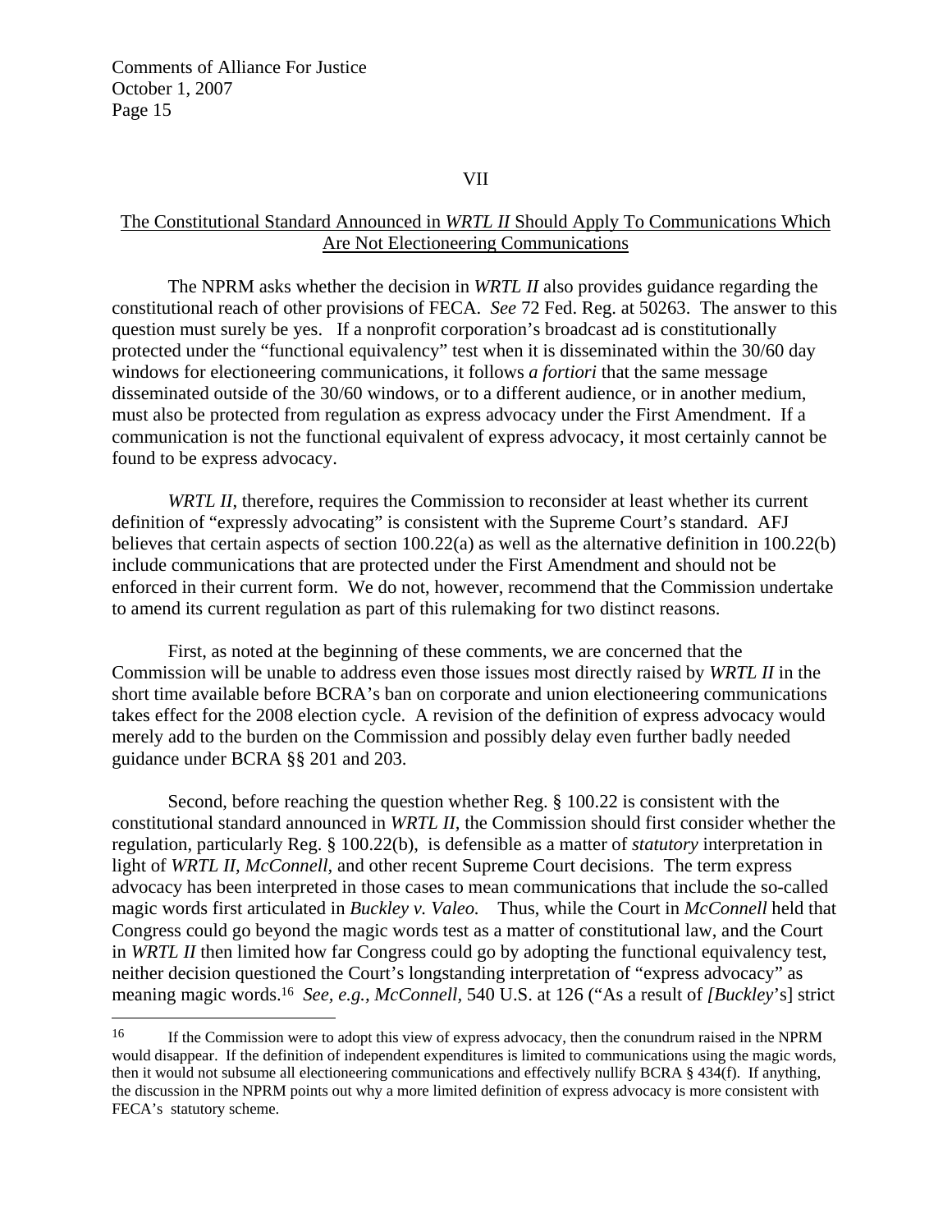$\overline{a}$ 

VII

## The Constitutional Standard Announced in *WRTL II* Should Apply To Communications Which Are Not Electioneering Communications

 The NPRM asks whether the decision in *WRTL II* also provides guidance regarding the constitutional reach of other provisions of FECA. *See* 72 Fed. Reg. at 50263. The answer to this question must surely be yes. If a nonprofit corporation's broadcast ad is constitutionally protected under the "functional equivalency" test when it is disseminated within the 30/60 day windows for electioneering communications, it follows *a fortiori* that the same message disseminated outside of the 30/60 windows, or to a different audience, or in another medium, must also be protected from regulation as express advocacy under the First Amendment. If a communication is not the functional equivalent of express advocacy, it most certainly cannot be found to be express advocacy.

*WRTL II*, therefore, requires the Commission to reconsider at least whether its current definition of "expressly advocating" is consistent with the Supreme Court's standard. AFJ believes that certain aspects of section 100.22(a) as well as the alternative definition in 100.22(b) include communications that are protected under the First Amendment and should not be enforced in their current form. We do not, however, recommend that the Commission undertake to amend its current regulation as part of this rulemaking for two distinct reasons.

 First, as noted at the beginning of these comments, we are concerned that the Commission will be unable to address even those issues most directly raised by *WRTL II* in the short time available before BCRA's ban on corporate and union electioneering communications takes effect for the 2008 election cycle. A revision of the definition of express advocacy would merely add to the burden on the Commission and possibly delay even further badly needed guidance under BCRA §§ 201 and 203.

 Second, before reaching the question whether Reg. § 100.22 is consistent with the constitutional standard announced in *WRTL II,* the Commission should first consider whether the regulation, particularly Reg. § 100.22(b), is defensible as a matter of *statutory* interpretation in light of *WRTL II, McConnell,* and other recent Supreme Court decisions. The term express advocacy has been interpreted in those cases to mean communications that include the so-called magic words first articulated in *Buckley v. Valeo.* Thus, while the Court in *McConnell* held that Congress could go beyond the magic words test as a matter of constitutional law, and the Court in *WRTL II* then limited how far Congress could go by adopting the functional equivalency test, neither decision questioned the Court's longstanding interpretation of "express advocacy" as meaning magic words.16 *See, e.g., McConnell,* 540 U.S. at 126 ("As a result of *[Buckley*'s] strict

<sup>16</sup> If the Commission were to adopt this view of express advocacy, then the conundrum raised in the NPRM would disappear. If the definition of independent expenditures is limited to communications using the magic words, then it would not subsume all electioneering communications and effectively nullify BCRA § 434(f). If anything, the discussion in the NPRM points out why a more limited definition of express advocacy is more consistent with FECA's statutory scheme.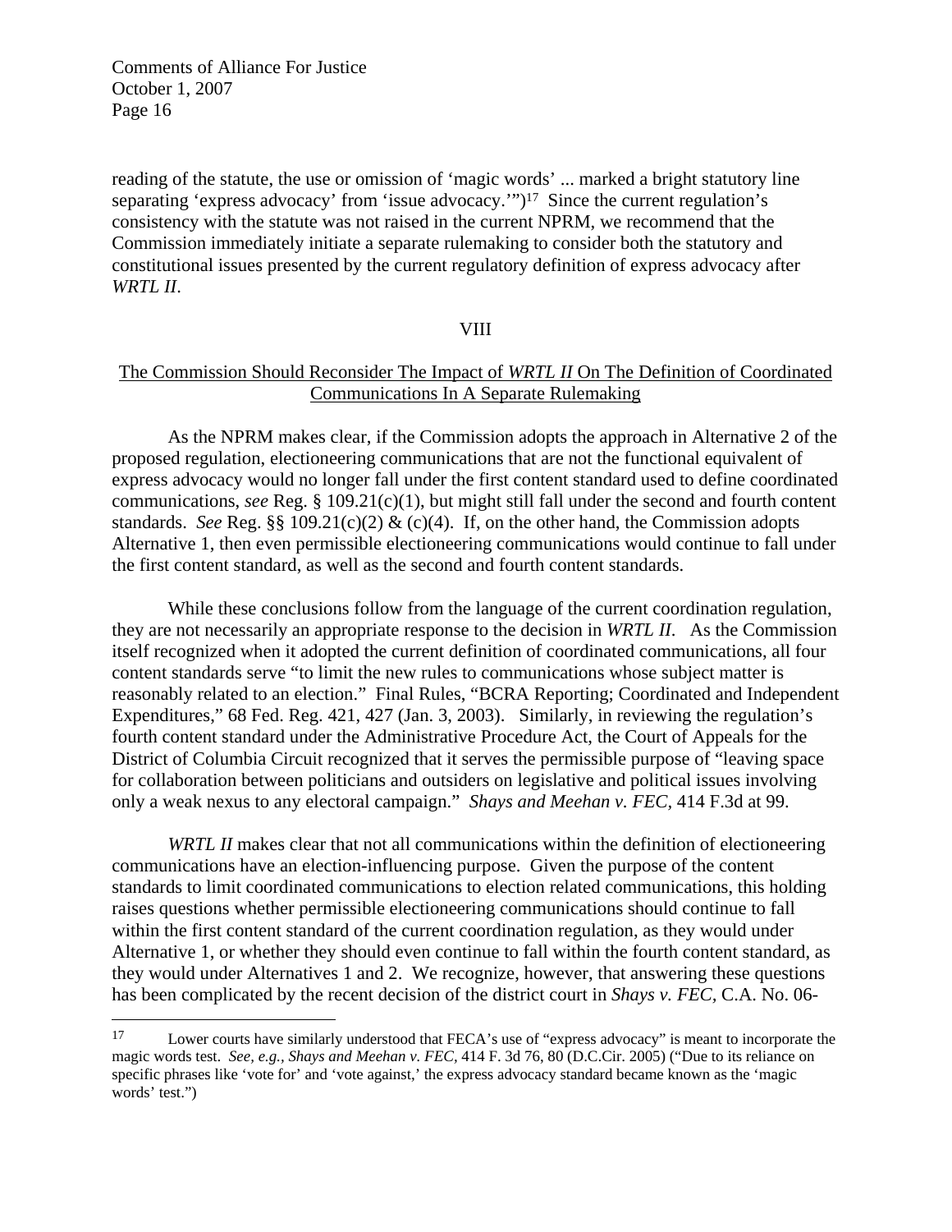$\overline{a}$ 

reading of the statute, the use or omission of 'magic words' ... marked a bright statutory line separating 'express advocacy' from 'issue advocacy.'")<sup>17</sup> Since the current regulation's consistency with the statute was not raised in the current NPRM, we recommend that the Commission immediately initiate a separate rulemaking to consider both the statutory and constitutional issues presented by the current regulatory definition of express advocacy after *WRTL II*.

#### VIII

## The Commission Should Reconsider The Impact of *WRTL II* On The Definition of Coordinated Communications In A Separate Rulemaking

 As the NPRM makes clear, if the Commission adopts the approach in Alternative 2 of the proposed regulation, electioneering communications that are not the functional equivalent of express advocacy would no longer fall under the first content standard used to define coordinated communications, *see* Reg. § 109.21(c)(1), but might still fall under the second and fourth content standards. *See* Reg. §§ 109.21(c)(2) & (c)(4). If, on the other hand, the Commission adopts Alternative 1, then even permissible electioneering communications would continue to fall under the first content standard, as well as the second and fourth content standards.

 While these conclusions follow from the language of the current coordination regulation, they are not necessarily an appropriate response to the decision in *WRTL II*. As the Commission itself recognized when it adopted the current definition of coordinated communications, all four content standards serve "to limit the new rules to communications whose subject matter is reasonably related to an election." Final Rules, "BCRA Reporting; Coordinated and Independent Expenditures," 68 Fed. Reg. 421, 427 (Jan. 3, 2003). Similarly, in reviewing the regulation's fourth content standard under the Administrative Procedure Act, the Court of Appeals for the District of Columbia Circuit recognized that it serves the permissible purpose of "leaving space for collaboration between politicians and outsiders on legislative and political issues involving only a weak nexus to any electoral campaign." *Shays and Meehan v. FEC,* 414 F.3d at 99.

*WRTL II* makes clear that not all communications within the definition of electioneering communications have an election-influencing purpose. Given the purpose of the content standards to limit coordinated communications to election related communications, this holding raises questions whether permissible electioneering communications should continue to fall within the first content standard of the current coordination regulation, as they would under Alternative 1, or whether they should even continue to fall within the fourth content standard, as they would under Alternatives 1 and 2. We recognize, however, that answering these questions has been complicated by the recent decision of the district court in *Shays v. FEC,* C.A. No. 06-

<sup>17</sup> Lower courts have similarly understood that FECA's use of "express advocacy" is meant to incorporate the magic words test. *See, e.g., Shays and Meehan v. FEC,* 414 F. 3d 76, 80 (D.C.Cir. 2005) ("Due to its reliance on specific phrases like 'vote for' and 'vote against,' the express advocacy standard became known as the 'magic words' test.")